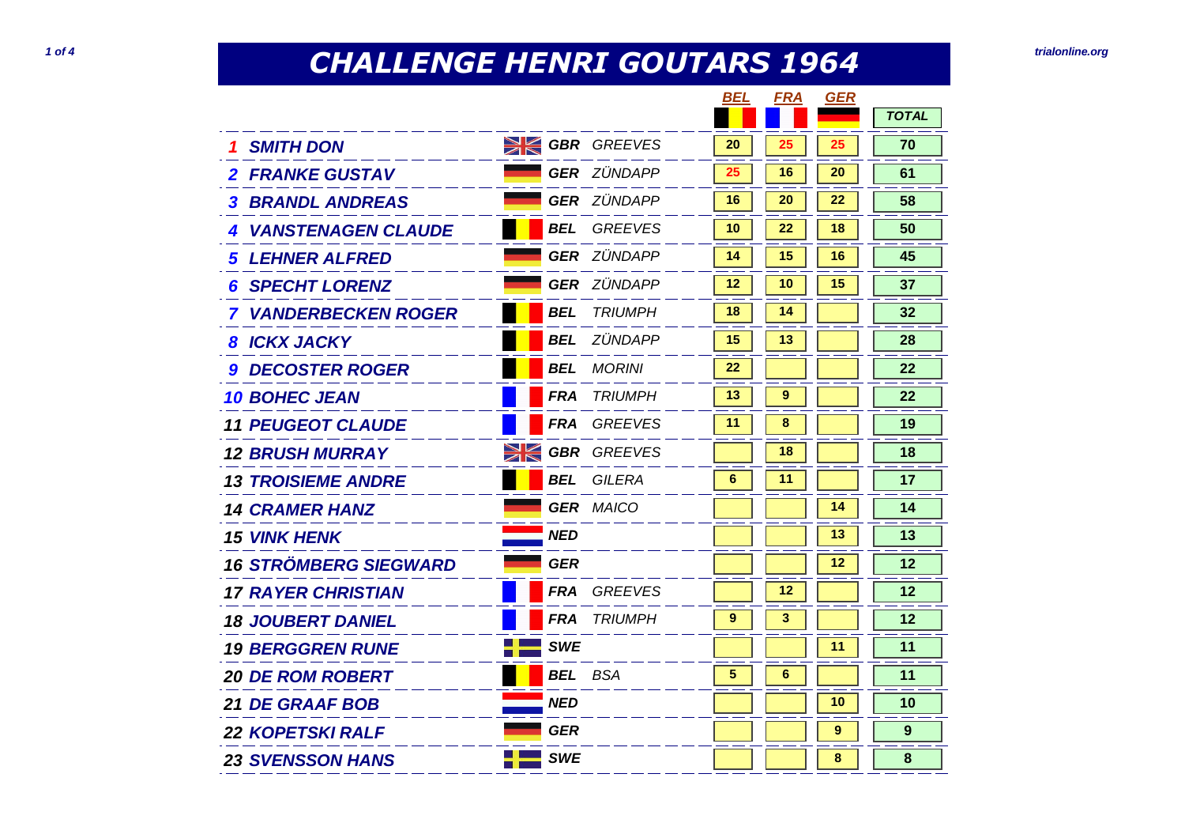## **CHALLENGE HENRI GOUTARS 1964 1064 1064 1064 1086 1086 1086 1086 1086 1086 1086 1086 1086 1086 1086 1086 1086 1086 1086 1086 1086 1086 1086 1086 1086 1086 1086 1086 1**

|                              |                       |                    | BEL | <b>FRA</b> | <b>GER</b> |              |
|------------------------------|-----------------------|--------------------|-----|------------|------------|--------------|
|                              |                       |                    |     |            |            | <b>TOTAL</b> |
| <b>1 SMITH DON</b>           | <b>SK GBR</b> GREEVES |                    | 20  | 25         | 25         | 70           |
| <b>2 FRANKE GUSTAV</b>       |                       | <b>GER</b> ZÜNDAPP | 25  | 16         | 20         | 61           |
| <b>BRANDL ANDREAS</b><br>3   |                       | <b>GER ZÜNDAPP</b> | 16  | 20         | 22         | 58           |
| <b>4 VANSTENAGEN CLAUDE</b>  | <b>BEL</b>            | <b>GREEVES</b>     | 10  | 22         | 18         | 50           |
| <b>5 LEHNER ALFRED</b>       |                       | <b>GER ZÜNDAPP</b> | 14  | 15         | 16         | 45           |
| <b>6 SPECHT LORENZ</b>       |                       | <b>GER ZÜNDAPP</b> | 12  | 10         | 15         | 37           |
| <b>7 VANDERBECKEN ROGER</b>  | <b>BEL</b>            | <b>TRIUMPH</b>     | 18  | 14         |            | 32           |
| <b>8 ICKX JACKY</b>          | <b>BEL</b>            | ZÜNDAPP            | 15  | 13         |            | 28           |
| <b>DECOSTER ROGER</b><br>g   | <b>BEL</b>            | <b>MORINI</b>      | 22  |            |            | 22           |
| <b>10 BOHEC JEAN</b>         | <b>FRA</b>            | <b>TRIUMPH</b>     | 13  | 9          |            | 22           |
| <b>11 PEUGEOT CLAUDE</b>     | <b>FRA</b>            | <b>GREEVES</b>     | 11  | 8          |            | 19           |
| <b>12 BRUSH MURRAY</b>       | XK                    | <b>GBR</b> GREEVES |     | 18         |            | 18           |
| <b>13 TROISIEME ANDRE</b>    | <b>BEL</b>            | GILERA             | 6   | 11         |            | 17           |
| <b>14 CRAMER HANZ</b>        |                       | <b>GER MAICO</b>   |     |            | 14         | 14           |
| <b>15 VINK HENK</b>          | <b>NED</b>            |                    |     |            | 13         | 13           |
| <b>16 STRÖMBERG SIEGWARD</b> | <b>GER</b>            |                    |     |            | 12         | 12           |
| <b>17 RAYER CHRISTIAN</b>    | <b>FRA</b>            | <b>GREEVES</b>     |     | 12         |            | 12           |
| <b>18 JOUBERT DANIEL</b>     | <b>FRA</b>            | <b>TRIUMPH</b>     | 9   | 3          |            | 12           |
| <b>19 BERGGREN RUNE</b>      | <b>SWE</b>            |                    |     |            | 11         | 11           |
| <b>20 DE ROM ROBERT</b>      | <b>BEL</b>            | <b>BSA</b>         | 5   | 6          |            | 11           |
| <b>21 DE GRAAF BOB</b>       | <b>NED</b>            |                    |     |            | 10         | 10           |
| <b>22 KOPETSKI RALF</b>      | <b>GER</b>            |                    |     |            | 9          | 9            |
| <b>23 SVENSSON HANS</b>      | <b>SWE</b><br>- 1     |                    |     |            | 8          | 8            |
|                              |                       |                    |     |            |            |              |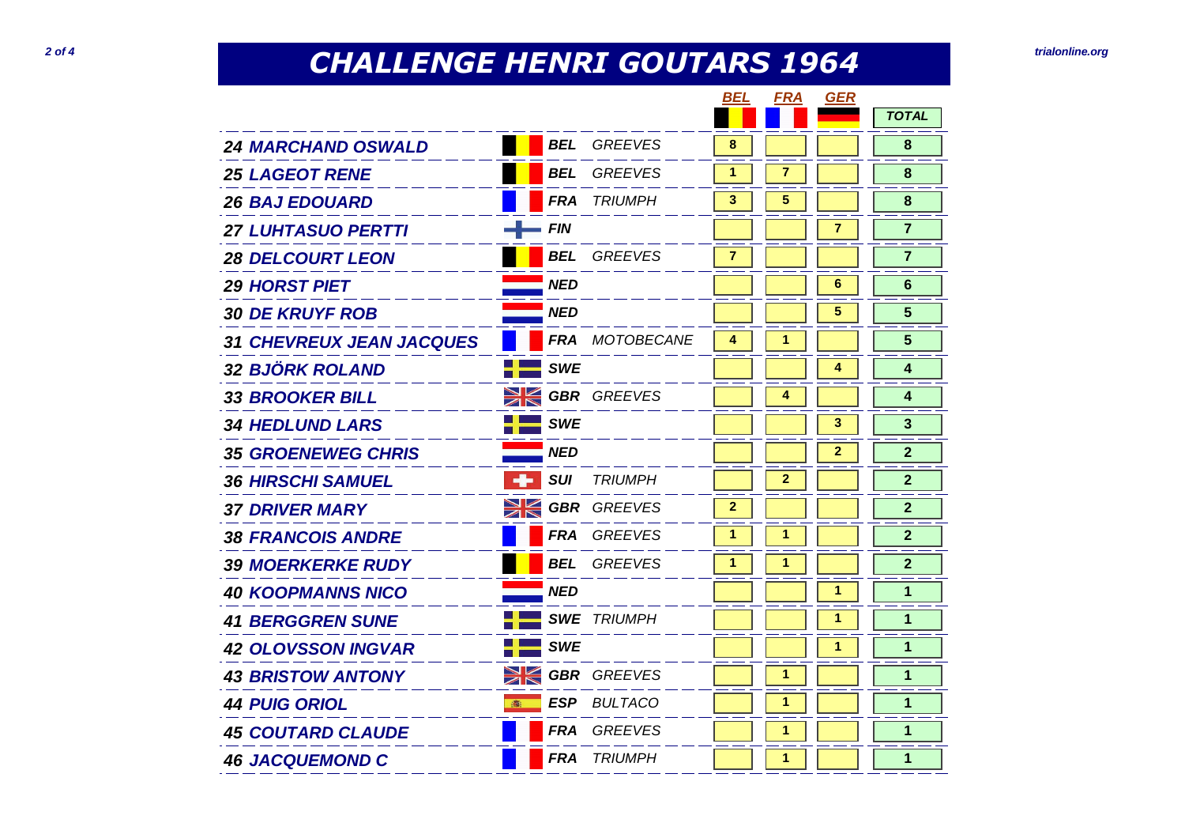## **CHALLENGE HENRI GOUTARS 1964 2 of 4** *trialonline.org***</del>**

|                                 |             |            |                    | BEL            | <b>FRA</b>   | GER          |                |
|---------------------------------|-------------|------------|--------------------|----------------|--------------|--------------|----------------|
|                                 |             |            |                    |                |              |              | <b>TOTAL</b>   |
| <b>24 MARCHAND OSWALD</b>       |             | <b>BEL</b> | <b>GREEVES</b>     | 8              |              |              | 8              |
| <b>25 LAGEOT RENE</b>           |             | <b>BEL</b> | <b>GREEVES</b>     | 1              | 7            |              | 8              |
| <b>26 BAJ EDOUARD</b>           |             | <b>FRA</b> | <b>TRIUMPH</b>     | 3              | 5            |              | 8              |
| <b>27 LUHTASUO PERTTI</b>       |             | <b>FIN</b> |                    |                |              | 7            | $\overline{7}$ |
| <b>28 DELCOURT LEON</b>         |             | <b>BEL</b> | <b>GREEVES</b>     | $\overline{7}$ |              |              | $\overline{7}$ |
| <b>29 HORST PIET</b>            |             | NED        |                    |                |              | 6            | 6              |
| <b>30 DE KRUYF ROB</b>          |             | <b>NED</b> |                    |                |              | 5            | 5              |
| <b>31 CHEVREUX JEAN JACQUES</b> |             | <b>FRA</b> | MOTOBECANE         | 4              | 1            |              | 5              |
| <b>32 BJÖRK ROLAND</b>          |             | <b>SWE</b> |                    |                |              | 4            | 4              |
| <b>33 BROOKER BILL</b>          | $\geqslant$ |            | <b>GBR</b> GREEVES |                | 4            |              | 4              |
| <b>34 HEDLUND LARS</b>          |             | <b>SWE</b> |                    |                |              | 3            | 3              |
| <b>35 GROENEWEG CHRIS</b>       |             | <b>NED</b> |                    |                |              | $\mathbf{2}$ | $\mathbf{2}$   |
| <b>36 HIRSCHI SAMUEL</b>        | -1-         | <b>SUI</b> | <b>TRIUMPH</b>     |                | $\mathbf{2}$ |              | $\mathbf{2}$   |
| <b>37 DRIVER MARY</b>           | XK          |            | <b>GBR</b> GREEVES | $\mathbf{2}$   |              |              | $\mathbf{2}$   |
| <b>38 FRANCOIS ANDRE</b>        |             | <b>FRA</b> | <b>GREEVES</b>     | 1              | 1            |              | $\overline{2}$ |
| <b>39 MOERKERKE RUDY</b>        |             | <b>BEL</b> | <b>GREEVES</b>     | 1              | 1            |              | $\overline{2}$ |
| <b>40 KOOPMANNS NICO</b>        |             | <b>NED</b> |                    |                |              | 1            | 1              |
|                                 |             |            |                    |                |              |              |                |
| <b>41 BERGGREN SUNE</b>         |             |            | <b>SWE TRIUMPH</b> |                |              | 1            | 1              |
| <b>42 OLOVSSON INGVAR</b>       |             | <b>SWE</b> |                    |                |              | 1            | 1              |
| <b>43 BRISTOW ANTONY</b>        | XK          |            | <b>GBR</b> GREEVES |                | 1            |              | $\mathbf 1$    |
| <b>44 PUIG ORIOL</b>            | 高           | <b>ESP</b> | <b>BULTACO</b>     |                | 1            |              | $\mathbf{1}$   |
| <b>45 COUTARD CLAUDE</b>        |             | <b>FRA</b> | <b>GREEVES</b>     |                | 1            |              | 1              |
| <b>46 JACQUEMOND C</b>          |             | <b>FRA</b> | <b>TRIUMPH</b>     |                | 1            |              | 1              |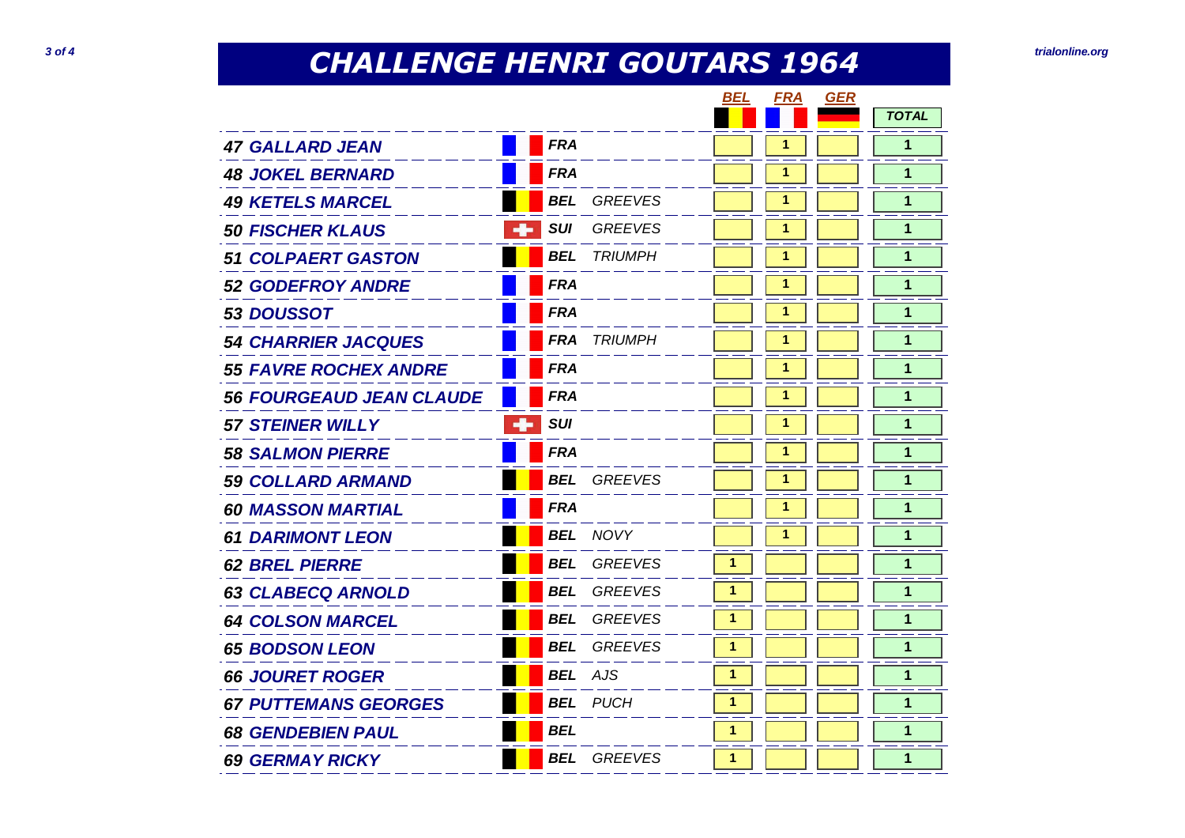## **CHALLENGE HENRI GOUTARS 1964** *Trialonline.org***<br>
<b>3** of 4

|                                 |            |                | BEL | <b>FRA</b> | <b>GER</b> |              |
|---------------------------------|------------|----------------|-----|------------|------------|--------------|
|                                 |            |                |     |            |            | <b>TOTAL</b> |
| <b>47 GALLARD JEAN</b>          | <b>FRA</b> |                |     | 1          |            | 1            |
| <b>48 JOKEL BERNARD</b>         | <b>FRA</b> |                |     | 1          |            | 1            |
| <b>49 KETELS MARCEL</b>         | <b>BEL</b> | <b>GREEVES</b> |     | 1          |            | 1            |
| -8<br><b>50 FISCHER KLAUS</b>   | <b>SUI</b> | <b>GREEVES</b> |     | 1          |            | 1            |
| <b>51 COLPAERT GASTON</b>       | <b>BEL</b> | <b>TRIUMPH</b> |     | 1          |            | 1            |
| <b>52 GODEFROY ANDRE</b>        | <b>FRA</b> |                |     | 1          |            | 1            |
| 53 DOUSSOT                      | <b>FRA</b> |                |     | 1          |            | 1            |
| <b>54 CHARRIER JACQUES</b>      | <b>FRA</b> | <b>TRIUMPH</b> |     | 1          |            | 1            |
| <b>55 FAVRE ROCHEX ANDRE</b>    | <b>FRA</b> |                |     | 1          |            | 1            |
| <b>56 FOURGEAUD JEAN CLAUDE</b> | <b>FRA</b> |                |     | 1          |            | 1            |
| ÷<br><b>57 STEINER WILLY</b>    | <b>SUI</b> |                |     | 1          |            | 1            |
| <b>58 SALMON PIERRE</b>         | <b>FRA</b> |                |     | 1          |            | 1            |
| <b>59 COLLARD ARMAND</b>        | <b>BEL</b> | <b>GREEVES</b> |     | 1          |            | 1            |
| <b>60 MASSON MARTIAL</b>        | <b>FRA</b> |                |     | 1          |            | 1            |
| <b>61 DARIMONT LEON</b>         | <b>BEL</b> | NOVY           |     | 1          |            | 1            |
| <b>62 BREL PIERRE</b>           | <b>BEL</b> | <b>GREEVES</b> | 1   |            |            | $\mathbf 1$  |
| <b>63 CLABECQ ARNOLD</b>        | <b>BEL</b> | <b>GREEVES</b> | 1   |            |            | $\mathbf 1$  |
| <b>64 COLSON MARCEL</b>         | <b>BEL</b> | <b>GREEVES</b> | 1   |            |            | 1            |
| <b>65 BODSON LEON</b>           | <b>BEL</b> | <b>GREEVES</b> | 1   |            |            | 1            |
| <b>66 JOURET ROGER</b>          | <b>BEL</b> | <b>AJS</b>     | 1   |            |            | 1            |
| <b>67 PUTTEMANS GEORGES</b>     | <b>BEL</b> | <b>PUCH</b>    | 1   |            |            | 1            |
| <b>68 GENDEBIEN PAUL</b>        | <b>BEL</b> |                | 1   |            |            | 1            |
| <b>69 GERMAY RICKY</b>          | <b>BEL</b> | <b>GREEVES</b> | 1   |            |            | 1            |
|                                 |            |                |     |            |            |              |